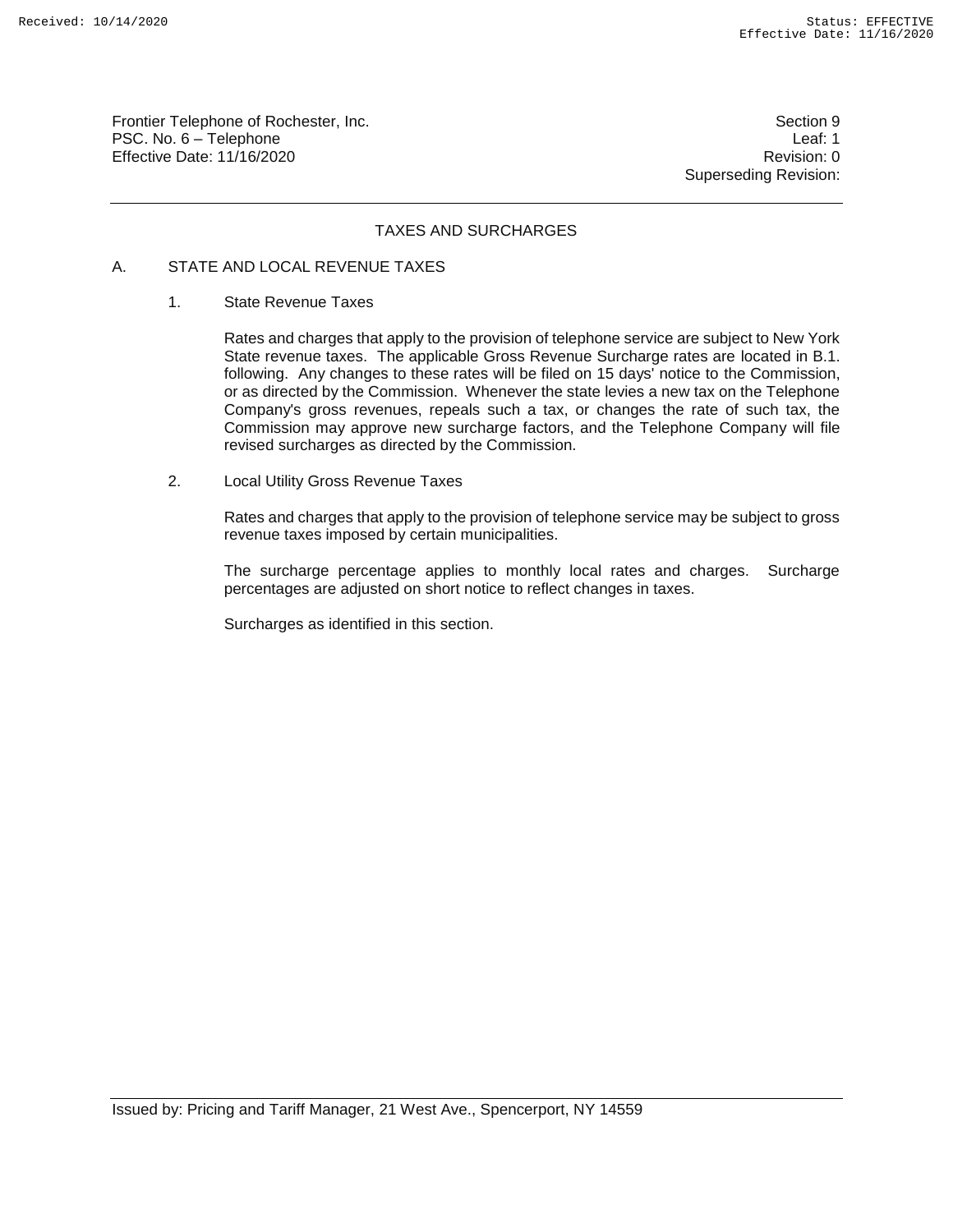Frontier Telephone of Rochester, Inc. Section 9 PSC. No. 6 – Telephone Leaf: 1 Effective Date: 11/16/2020 Revision: 0

Superseding Revision:

# TAXES AND SURCHARGES

## A. STATE AND LOCAL REVENUE TAXES

#### 1. State Revenue Taxes

Rates and charges that apply to the provision of telephone service are subject to New York State revenue taxes. The applicable Gross Revenue Surcharge rates are located in B.1. following. Any changes to these rates will be filed on 15 days' notice to the Commission, or as directed by the Commission. Whenever the state levies a new tax on the Telephone Company's gross revenues, repeals such a tax, or changes the rate of such tax, the Commission may approve new surcharge factors, and the Telephone Company will file revised surcharges as directed by the Commission.

2. Local Utility Gross Revenue Taxes

Rates and charges that apply to the provision of telephone service may be subject to gross revenue taxes imposed by certain municipalities.

The surcharge percentage applies to monthly local rates and charges. Surcharge percentages are adjusted on short notice to reflect changes in taxes.

Surcharges as identified in this section.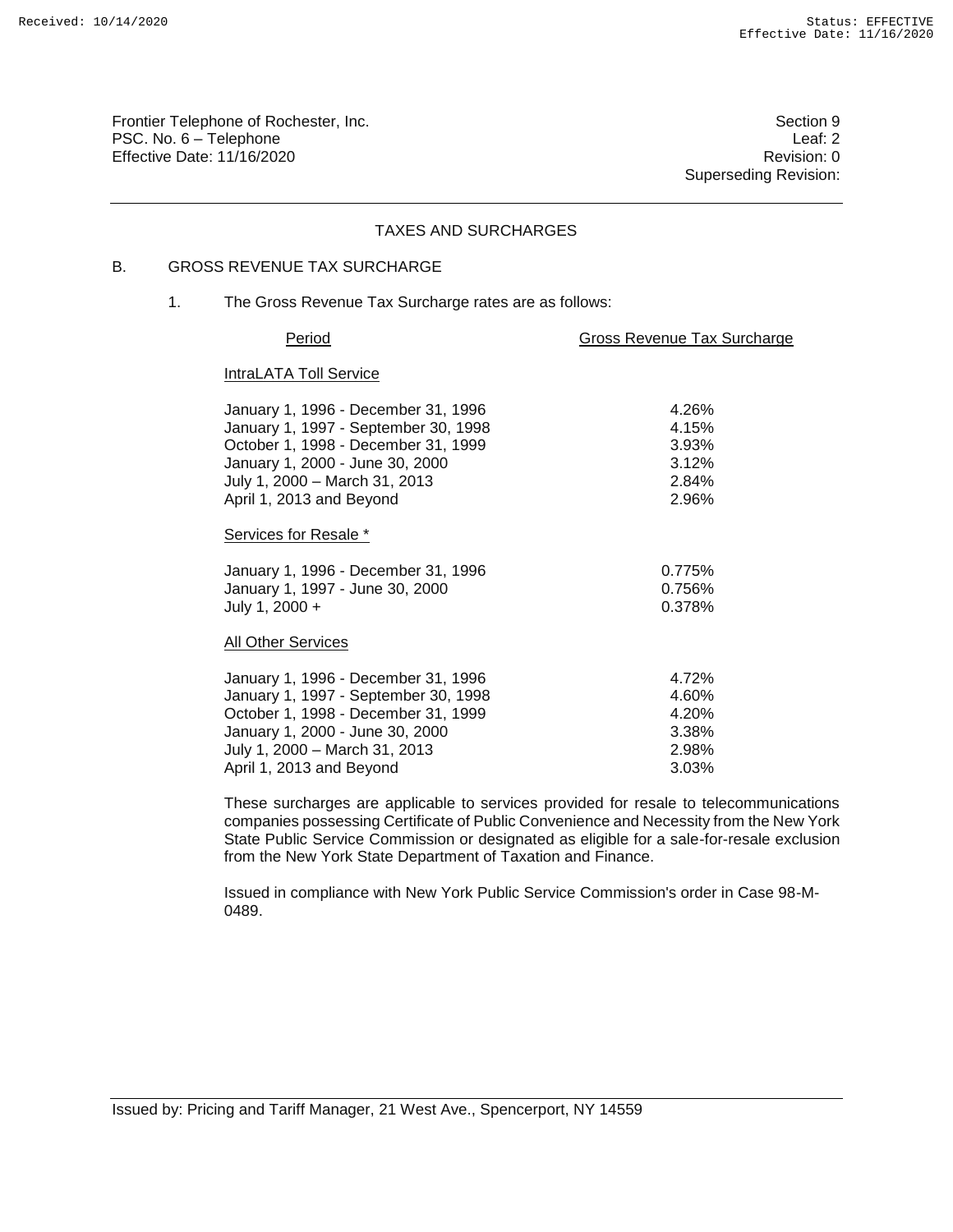Frontier Telephone of Rochester, Inc. Section 9 PSC. No. 6 – Telephone Leaf: 2 Effective Date: 11/16/2020 **Review Account 2018** Revision: 0

Superseding Revision:

## TAXES AND SURCHARGES

# B. GROSS REVENUE TAX SURCHARGE

1. The Gross Revenue Tax Surcharge rates are as follows:

#### Period **Gross Revenue Tax Surcharge**

#### **IntraLATA Toll Service**

| January 1, 1996 - December 31, 1996  | 4.26%     |
|--------------------------------------|-----------|
| January 1, 1997 - September 30, 1998 | 4.15%     |
| October 1, 1998 - December 31, 1999  | 3.93%     |
| January 1, 2000 - June 30, 2000      | 3.12%     |
| July 1, 2000 - March 31, 2013        | 2.84%     |
| April 1, 2013 and Beyond             | 2.96%     |
| Services for Resale *                |           |
| January 1, 1996 - December 31, 1996  | 0.775%    |
| January 1, 1997 - June 30, 2000      | $0.756\%$ |
| July 1, 2000 +                       | 0.378%    |
| <b>All Other Services</b>            |           |
| January 1, 1996 - December 31, 1996  | 4.72%     |
| January 1, 1997 - September 30, 1998 | 4.60%     |
| October 1, 1998 - December 31, 1999  | 4.20%     |
| January 1, 2000 - June 30, 2000      | 3.38%     |
| July 1, 2000 - March 31, 2013        | 2.98%     |
| April 1, 2013 and Beyond             | 3.03%     |

These surcharges are applicable to services provided for resale to telecommunications companies possessing Certificate of Public Convenience and Necessity from the New York State Public Service Commission or designated as eligible for a sale-for-resale exclusion from the New York State Department of Taxation and Finance.

Issued in compliance with New York Public Service Commission's order in Case 98-M-0489.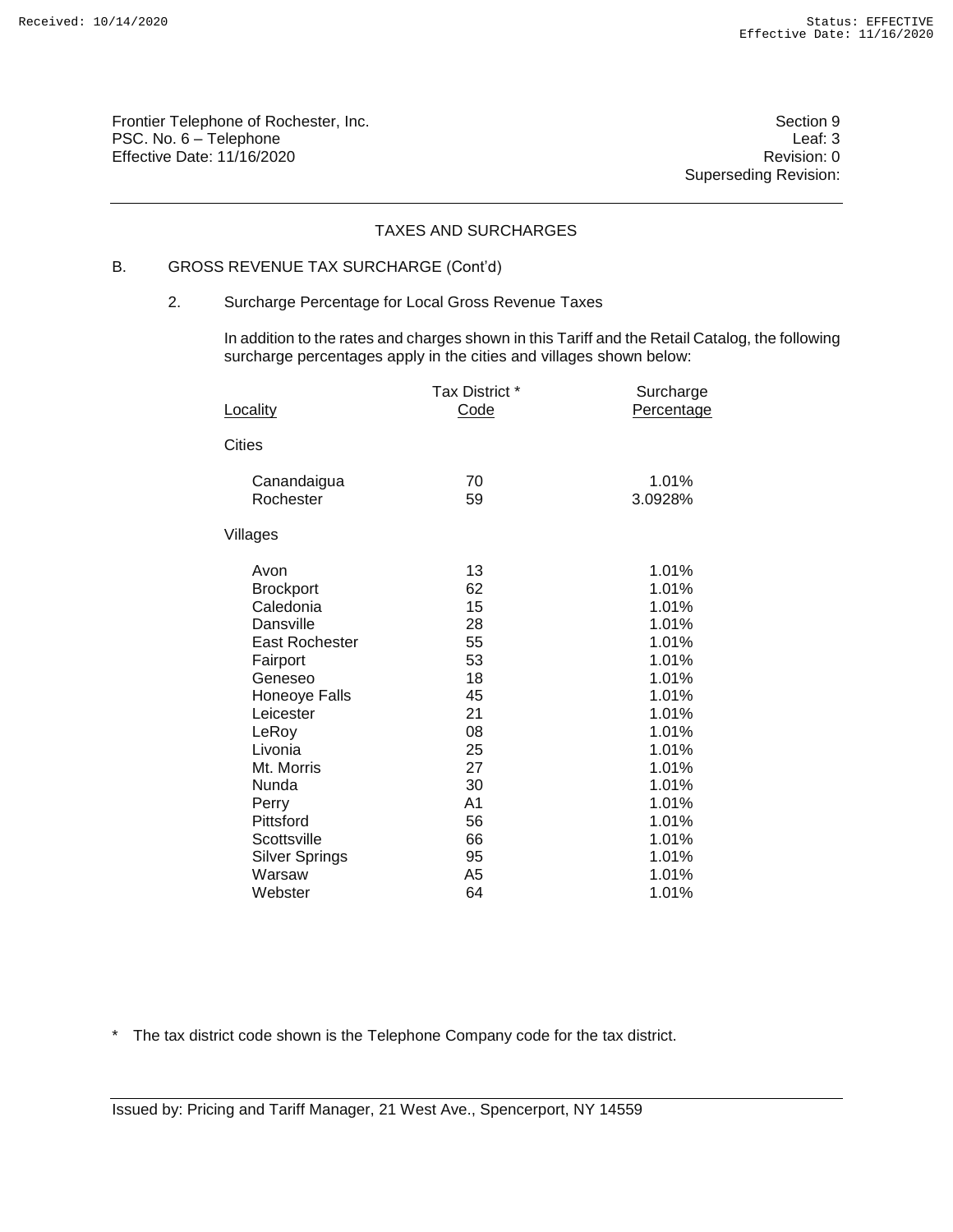Frontier Telephone of Rochester, Inc. Section 9 PSC. No. 6 – Telephone Leaf: 3 Effective Date: 11/16/2020 **Review Account 2018** Revision: 0

Superseding Revision:

# TAXES AND SURCHARGES

# B. GROSS REVENUE TAX SURCHARGE (Cont'd)

## 2. Surcharge Percentage for Local Gross Revenue Taxes

In addition to the rates and charges shown in this Tariff and the Retail Catalog, the following surcharge percentages apply in the cities and villages shown below:

| Locality              | Tax District *<br>Code | Surcharge<br>Percentage |
|-----------------------|------------------------|-------------------------|
|                       |                        |                         |
| Cities                |                        |                         |
| Canandaigua           | 70                     | 1.01%                   |
| Rochester             | 59                     | 3.0928%                 |
| Villages              |                        |                         |
| Avon                  | 13                     | 1.01%                   |
| <b>Brockport</b>      | 62                     | 1.01%                   |
| Caledonia             | 15                     | 1.01%                   |
| Dansville             | 28                     | 1.01%                   |
| <b>East Rochester</b> | 55                     | 1.01%                   |
| Fairport              | 53                     | 1.01%                   |
| Geneseo               | 18                     | 1.01%                   |
| Honeoye Falls         | 45                     | 1.01%                   |
| Leicester             | 21                     | 1.01%                   |
| LeRoy                 | 08                     | 1.01%                   |
| Livonia               | 25                     | 1.01%                   |
| Mt. Morris            | 27                     | 1.01%                   |
| Nunda                 | 30                     | 1.01%                   |
| Perry                 | A <sub>1</sub>         | 1.01%                   |
| Pittsford             | 56                     | 1.01%                   |
| Scottsville           | 66                     | 1.01%                   |
| <b>Silver Springs</b> | 95                     | 1.01%                   |
| Warsaw                | A5                     | 1.01%                   |
| Webster               | 64                     | 1.01%                   |

\* The tax district code shown is the Telephone Company code for the tax district.

Issued by: Pricing and Tariff Manager, 21 West Ave., Spencerport, NY 14559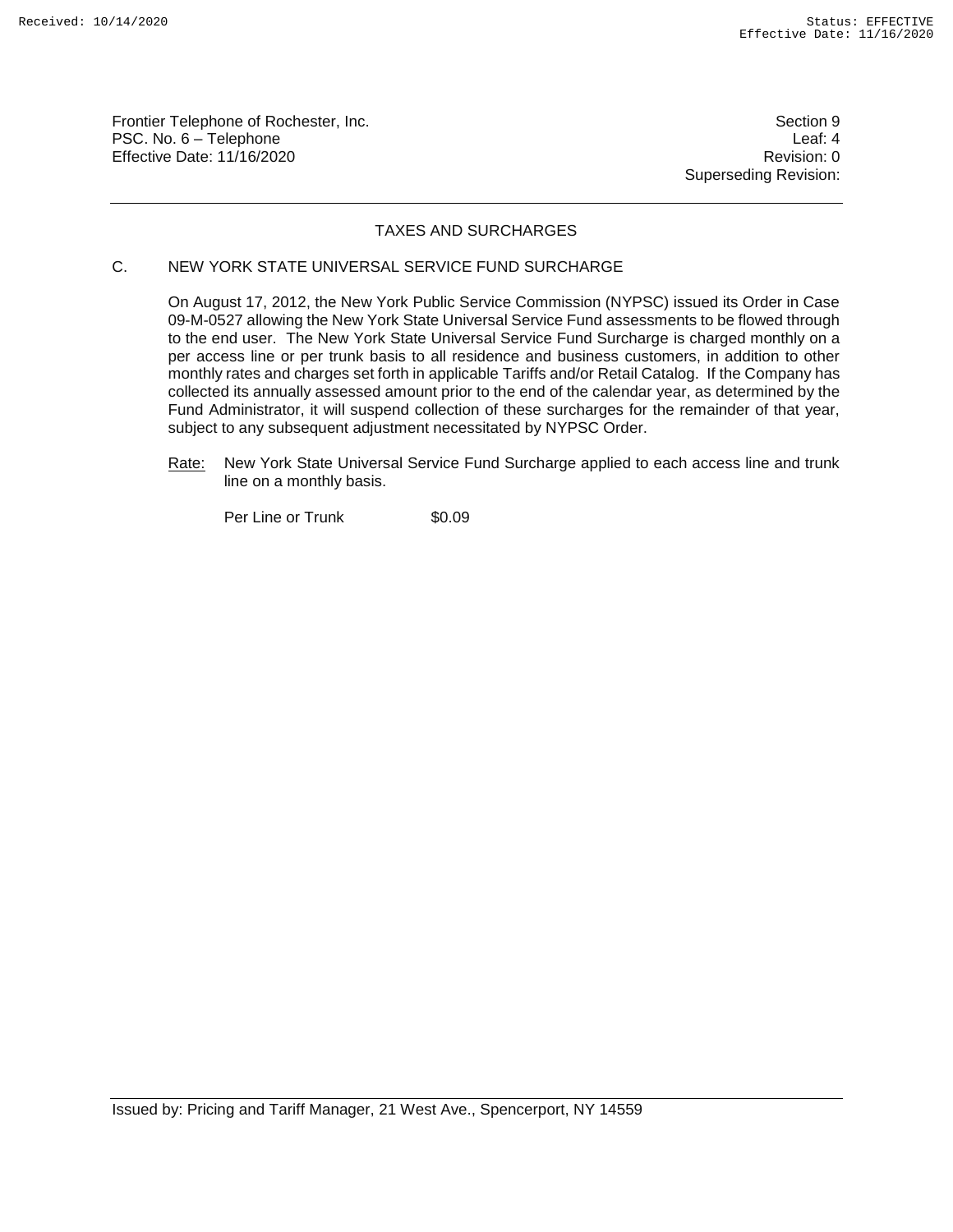Frontier Telephone of Rochester, Inc. Section 9 PSC. No. 6 – Telephone Leaf: 4 Effective Date: 11/16/2020 **Review Accounts** Effective Date: 0

Superseding Revision:

# TAXES AND SURCHARGES

# C. NEW YORK STATE UNIVERSAL SERVICE FUND SURCHARGE

On August 17, 2012, the New York Public Service Commission (NYPSC) issued its Order in Case 09-M-0527 allowing the New York State Universal Service Fund assessments to be flowed through to the end user. The New York State Universal Service Fund Surcharge is charged monthly on a per access line or per trunk basis to all residence and business customers, in addition to other monthly rates and charges set forth in applicable Tariffs and/or Retail Catalog. If the Company has collected its annually assessed amount prior to the end of the calendar year, as determined by the Fund Administrator, it will suspend collection of these surcharges for the remainder of that year, subject to any subsequent adjustment necessitated by NYPSC Order.

Rate: New York State Universal Service Fund Surcharge applied to each access line and trunk line on a monthly basis.

Per Line or Trunk \$0.09